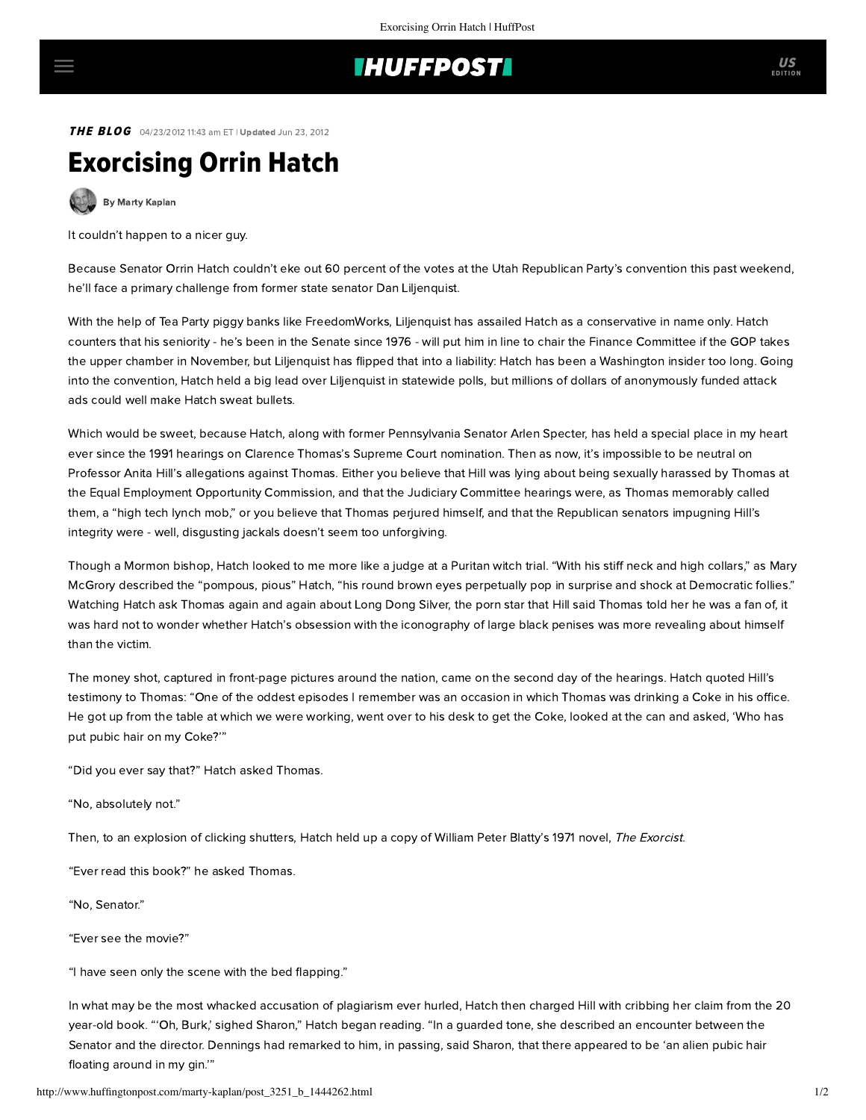## **IHUFFPOSTI**

**THE BLOG** 04/23/2012 11:43 am ET | Updated Jun 23, 2012

## Exorcising Orrin Hatch

[By Marty Kaplan](http://www.huffingtonpost.com/author/marty-kaplan)

It couldn't happen to a nicer guy.

Because Senator Orrin Hatch couldn't eke out 60 percent of the votes at the Utah Republican Party's convention this past weekend, he'll face a primary challenge from former state senator Dan Liljenquist.

With the help of Tea Party piggy banks like FreedomWorks, Liljenquist has assailed Hatch as a conservative in name only. Hatch counters that his seniority - he's been in the Senate since 1976 - will put him in line to chair the Finance Committee if the GOP takes the upper chamber in November, but Liljenquist has flipped that into a liability: Hatch has been a Washington insider too long. Going into the convention, Hatch held a big lead over Liljenquist in statewide polls, but millions of dollars of anonymously funded attack ads could well make Hatch sweat bullets.

Which would be sweet, because Hatch, along with former Pennsylvania Senator Arlen Specter, has held a special place in my heart ever since the 1991 hearings on Clarence Thomas's Supreme Court nomination. Then as now, it's impossible to be neutral on Professor Anita Hill's allegations against Thomas. Either you believe that Hill was lying about being sexually harassed by Thomas at the Equal Employment Opportunity Commission, and that the Judiciary Committee hearings were, as Thomas memorably called them, a "high tech lynch mob," or you believe that Thomas perjured himself, and that the Republican senators impugning Hill's integrity were - well, disgusting jackals doesn't seem too unforgiving.

Though a Mormon bishop, Hatch looked to me more like a judge at a Puritan witch trial. "With his stiff neck and high collars," as Mary McGrory described the "pompous, pious" [Hatch, "his round brown eyes perpetually pop in surprise and shock at Democratic follies."](http://www.washingtonpost.com/wp-dyn/content/article/2009/06/30/AR2009063002101.html) Watching Hatch ask Thomas again and again about Long Dong Silver, the porn star that Hill said Thomas told her he was a fan of, it was hard not to wonder whether Hatch's obsession with the iconography of large black penises was more revealing about himself than the victim.

The money shot, captured in front-page pictures around the nation, came on [the second day](http://cti.itc.virginia.edu/~ybf2u/Thomas-Hill/1012a01a.html) of the hearings. Hatch quoted Hill's testimony to Thomas: "One of the oddest episodes I remember was an occasion in which Thomas was drinking a Coke in his office. He got up from the table at which we were working, went over to his desk to get the Coke, looked at the can and asked, 'Who has put pubic hair on my Coke?'"

"Did you ever say that?" Hatch asked Thomas.

"No, absolutely not."

Then, to an explosion of clicking shutters, Hatch held up a copy of William Peter Blatty's 1971 novel, The Exorcist.

"Ever read this book?" he asked Thomas.

"No, Senator."

"Ever see the movie?"

"I have seen only the scene with the bed flapping."

In what may be the most whacked accusation of plagiarism ever hurled, Hatch then charged Hill with cribbing her claim from the 20 year-old book. "'Oh, Burk,' sighed Sharon," Hatch began reading. "In a guarded tone, she described an encounter between the Senator and the director. Dennings had remarked to him, in passing, said Sharon, that there appeared to be 'an alien pubic hair floating around in my gin.'"